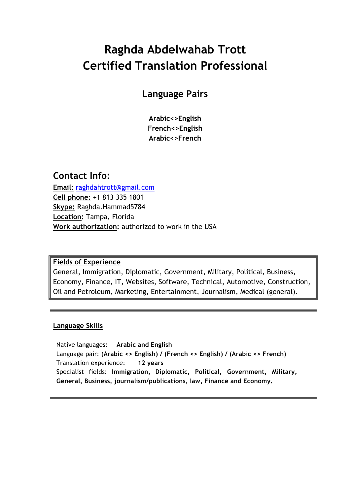# **Raghda Abdelwahab Trott Certified Translation Professional**

## **Language Pairs**

**Arabic<>English French<>English Arabic<>French**

## **Contact Info:**

**Email:** raghdahtrott@gmail.com **Cell phone:** +1 813 335 1801 **Skype:** Raghda.Hammad5784 **Location:** Tampa, Florida **Work authorization:** authorized to work in the USA

#### **Fields of Experience**

General, Immigration, Diplomatic, Government, Military, Political, Business, Economy, Finance, IT, Websites, Software, Technical, Automotive, Construction, Oil and Petroleum, Marketing, Entertainment, Journalism, Medical (general).

#### **Language Skills**

Native languages: **Arabic and English** Language pair: (**Arabic <> English) / (French <> English) / (Arabic <> French)** Translation experience: **12 years** Specialist fields: **Immigration, Diplomatic, Political, Government, Military, General, Business, journalism/publications, law, Finance and Economy.**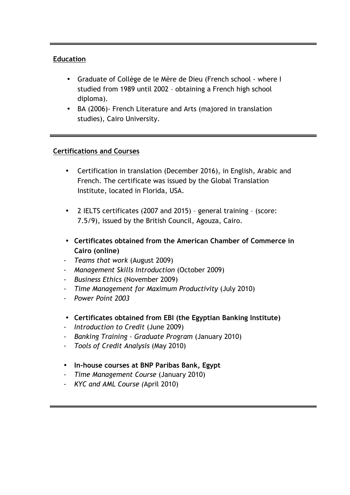#### **Education**

- Graduate of Collège de le Mère de Dieu (French school where I studied from 1989 until 2002 – obtaining a French high school diploma).
- BA (2006)- French Literature and Arts (majored in translation studies), Cairo University.

#### **Certifications and Courses**

- Certification in translation (December 2016), in English, Arabic and French. The certificate was issued by the Global Translation Institute, located in Florida, USA.
- 2 IELTS certificates (2007 and 2015) general training (score: 7.5/9), issued by the British Council, Agouza, Cairo.
- **Certificates obtained from the American Chamber of Commerce in Cairo (online)**
- *- Teams that work* (August 2009)
- *- Management Skills Introduction* (October 2009)
- *- Business Ethics* (November 2009)
- *- Time Management for Maximum Productivity* (July 2010)
- *- Power Point 2003*
- **Certificates obtained from EBI (the Egyptian Banking Institute)**
- *- Introduction to Credit* (June 2009)
- *- Banking Training – Graduate Program* (January 2010)
- *- Tools of Credit Analysis* (May 2010)
- **In-house courses at BNP Paribas Bank, Egypt**
- *- Time Management Course* (January 2010)
- *- KYC and AML Course (*April 2010)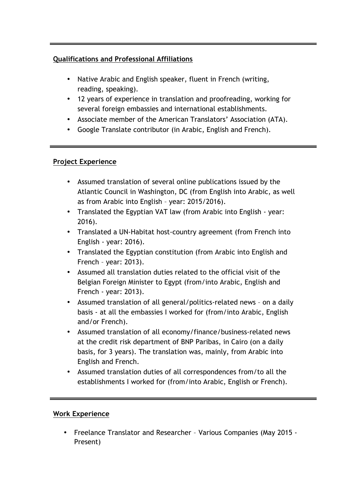### **Qualifications and Professional Affiliations**

- Native Arabic and English speaker, fluent in French (writing, reading, speaking).
- 12 years of experience in translation and proofreading, working for several foreign embassies and international establishments.
- Associate member of the American Translators' Association (ATA).
- Google Translate contributor (in Arabic, English and French).

#### **Project Experience**

- Assumed translation of several online publications issued by the Atlantic Council in Washington, DC (from English into Arabic, as well as from Arabic into English – year: 2015/2016).
- Translated the Egyptian VAT law (from Arabic into English year: 2016).
- Translated a UN-Habitat host-country agreement (from French into English - year: 2016).
- Translated the Egyptian constitution (from Arabic into English and French – year: 2013).
- Assumed all translation duties related to the official visit of the Belgian Foreign Minister to Egypt (from/into Arabic, English and French - year: 2013).
- Assumed translation of all general/politics-related news on a daily basis - at all the embassies I worked for (from/into Arabic, English and/or French).
- Assumed translation of all economy/finance/business-related news at the credit risk department of BNP Paribas, in Cairo (on a daily basis, for 3 years). The translation was, mainly, from Arabic into English and French.
- Assumed translation duties of all correspondences from/to all the establishments I worked for (from/into Arabic, English or French).

#### **Work Experience**

• Freelance Translator and Researcher – Various Companies (May 2015 - Present)